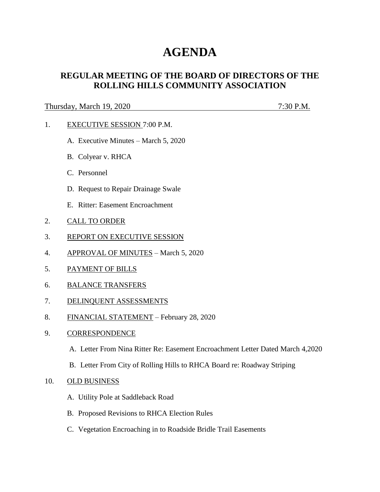# **AGENDA**

# **REGULAR MEETING OF THE BOARD OF DIRECTORS OF THE ROLLING HILLS COMMUNITY ASSOCIATION**

### Thursday, March 19, 2020 7:30 P.M.

- 1. EXECUTIVE SESSION 7:00 P.M.
	- A. Executive Minutes March 5, 2020
	- B. Colyear v. RHCA
	- C. Personnel
	- D. Request to Repair Drainage Swale
	- E. Ritter: Easement Encroachment
- 2. CALL TO ORDER
- 3. REPORT ON EXECUTIVE SESSION
- 4. APPROVAL OF MINUTES March 5, 2020
- 5. PAYMENT OF BILLS
- 6. BALANCE TRANSFERS
- 7. DELINQUENT ASSESSMENTS
- 8. FINANCIAL STATEMENT February 28, 2020
- 9. CORRESPONDENCE
	- A. Letter From Nina Ritter Re: Easement Encroachment Letter Dated March 4,2020
	- B. Letter From City of Rolling Hills to RHCA Board re: Roadway Striping

#### 10. OLD BUSINESS

- A. Utility Pole at Saddleback Road
- B. Proposed Revisions to RHCA Election Rules
- C. Vegetation Encroaching in to Roadside Bridle Trail Easements